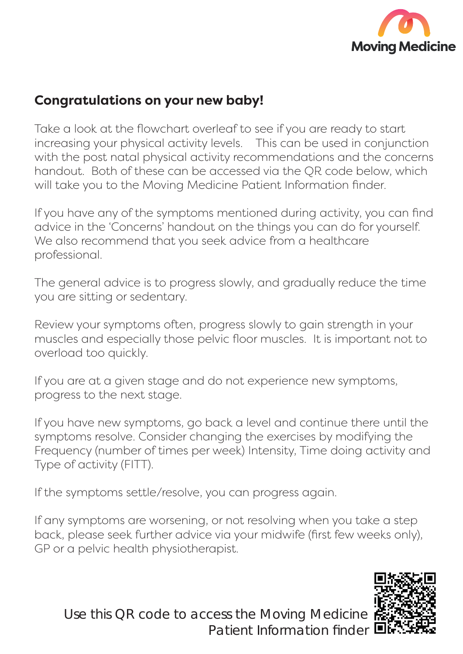

## **Congratulations on your new baby!**

Take a look at the flowchart overleaf to see if you are ready to start increasing your physical activity levels. This can be used in conjunction with the post natal physical activity recommendations and the concerns handout. Both of these can be accessed via the QR code below, which will take you to the Moving Medicine Patient Information finder.

If you have any of the symptoms mentioned during activity, you can find advice in the 'Concerns' handout on the things you can do for yourself. We also recommend that you seek advice from a healthcare professional.

The general advice is to progress slowly, and gradually reduce the time you are sitting or sedentary.

Review your symptoms often, progress slowly to gain strength in your muscles and especially those pelvic floor muscles. It is important not to overload too quickly.

If you are at a given stage and do not experience new symptoms, progress to the next stage.

If you have new symptoms, go back a level and continue there until the symptoms resolve. Consider changing the exercises by modifying the Frequency (number of times per week) Intensity, Time doing activity and Type of activity (FITT).

If the symptoms settle/resolve, you can progress again.

If any symptoms are worsening, or not resolving when you take a step back, please seek further advice via your midwife (first few weeks only), GP or a pelvic health physiotherapist.